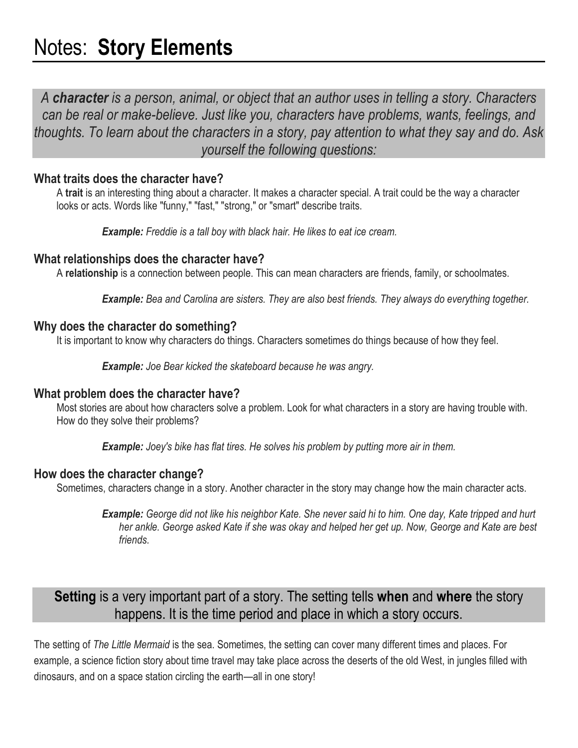# Notes: **Story Elements**

*A character is a person, animal, or object that an author uses in telling a story. Characters can be real or make-believe. Just like you, characters have problems, wants, feelings, and thoughts. To learn about the characters in a story, pay attention to what they say and do. Ask yourself the following questions:*

## **What traits does the character have?**

A **trait** is an interesting thing about a character. It makes a character special. A trait could be the way a character looks or acts. Words like "funny," "fast," "strong," or "smart" describe traits.

*Example: Freddie is a tall boy with black hair. He likes to eat ice cream.*

## **What relationships does the character have?**

A **relationship** is a connection between people. This can mean characters are friends, family, or schoolmates.

*Example: Bea and Carolina are sisters. They are also best friends. They always do everything together.*

#### **Why does the character do something?**

It is important to know why characters do things. Characters sometimes do things because of how they feel.

*Example: Joe Bear kicked the skateboard because he was angry.*

#### **What problem does the character have?**

Most stories are about how characters solve a problem. Look for what characters in a story are having trouble with. How do they solve their problems?

*Example: Joey's bike has flat tires. He solves his problem by putting more air in them.*

## **How does the character change?**

Sometimes, characters change in a story. Another character in the story may change how the main character acts.

*Example: George did not like his neighbor Kate. She never said hi to him. One day, Kate tripped and hurt her ankle. George asked Kate if she was okay and helped her get up. Now, George and Kate are best friends.*

# **Setting** is a very important part of a story. The setting tells **when** and **where** the story happens. It is the time period and place in which a story occurs.

The setting of *The Little Mermaid* is the sea. Sometimes, the setting can cover many different times and places. For example, a science fiction story about time travel may take place across the deserts of the old West, in jungles filled with dinosaurs, and on a space station circling the earth—all in one story!